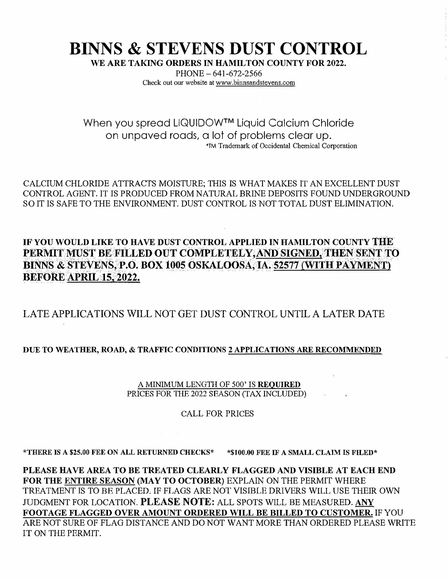## **BINNS & STEVENS DUST CONTROL**

WE ARE TAKING ORDERS IN HAMILTON COUNTY FOR 2022.

PHONE - 641-672-2566 Check out our website at www.binnsandstevens.com

When you spread LIQUIDOW™ Liquid Calcium Chloride on unpaved roads, a lot of problems clear up. 'TM Trademark of Occidental Chemical Corporation

CALCIUM CHLORIDE ATTRACTS MOISTURE; THIS IS WHAT MAKES IT AN EXCELLENT DUST CONTROL AGENT. IT IS PRODUCED FROM NATURAL BRINE DEPOSITS FOUND UNDERGROUND SO IT IS SAFE TO THE ENVIRONMENT. DUST CONTROL IS NOT TOTAL DUST ELIMINATION.

**IF YOU WOULD LIKE TO HAVE DUST CONTROL APPLIED IN HAMILTON COUNTY THE** PERMIT MUST BE FILLED OUT COMPLETELY, AND SIGNED, THEN SENT TO **BINNS & STEVENS, P.O. BOX 1005 OSKALOOSA, IA. 52577{WITH PAYMENT) BEFORE APRIL 15, 2022.**

LATE APPLICATIONS WILL NOT GET DUST CONTROL UNTIL A LATER DATE

## **DUE TO WEATHER, ROAD, & TRAFFIC CONDITIONS 2 APPLICATIONS ARE RECOMMENDED**

A MINIMUM LENGTII OF 500' IS **REOillRED** PRICES FOR THE 2022 SEASON (TAX INCLUDED)

CALL FOR PRICES

**\*THERE IS A \$25.00 FEE ON ALL RETURNED CHECKS\* \*\$100.00 FEE IF A SMALL CLAIM IS FILED\*** 

**PLEASE HA VE AREA TO BE TREATED CLEARLY FLAGGED AND VISIBLE AT EACH END FOR THE ENTIRE SEASON (MAY TO OCTOBER)** EXPLAIN ON THE PERMIT WHERE TREATMENT IS TO BE PLACED. IF FLAGS ARE NOT VISIBLE DRIVERS WILL USE THEIR OWN JUDGMENT FOR LOCATION. **PLEASE NOTE:** ALL SPOTS WILL BE MEASURED. **ANY FOOTAGE FLAGGED OVER AMOUNT ORDERED WILL BE BILLED TO CUSTOMER.** IF YOU ARE NOT SURE OF FLAG DISTANCE AND DO NOT WANT MORE THAN ORDERED PLEASE WRITE IT ON THE PERMIT.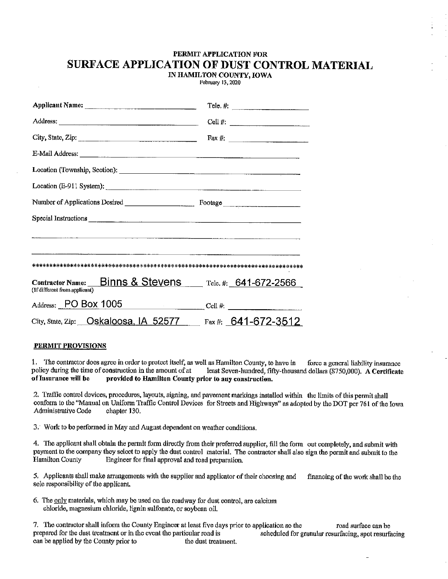## PERMIT APPLICATION FOR SURFACE APPLICATION OF DUST CONTROL MATERIAL

IN HAMILTON COUNTY, IOWA February 13, 2020

|                                                                                         | Tele. $#$ :             |
|-----------------------------------------------------------------------------------------|-------------------------|
|                                                                                         | Cell #: $\qquad \qquad$ |
| City, State, Zip:                                                                       | Fax #: $\qquad \qquad$  |
| E-Mail Address:                                                                         |                         |
| Location (Township, Section):                                                           |                         |
| Location (E-911 System):                                                                |                         |
|                                                                                         |                         |
|                                                                                         |                         |
|                                                                                         |                         |
|                                                                                         |                         |
|                                                                                         |                         |
| Contractor Name: Binns & Stevens Tele, #: 641-672-2566<br>(If different from applicant) |                         |
| Address: PO Box 1005 Cell #:                                                            |                         |
| City, State, Zip: Oskaloosa, IA 52577 Fax #: 641-672-3512                               |                         |

## PERMIT PROVISIONS

1. The contractor does agree in order to protect itself, as well as Hamilton County, to have in force a general liability insurance policy during the time of construction in the amount of at least Seven-hundred, fifty-thousand dollars (\$750,000). A Certificate of Insurance will be provided to Hamilton County prior to any construction.

2. Traffic control devices, procedures, layouts, signing, and pavement markings installed within the limits of this permit shall conform to the "Manual on Uniform Traffic Control Devices for Streets and Highways" as adopted by the DOT per 761 of the Iowa Administrative Code chapter 130.

3. Work to be performed in May and August dependent on weather conditions.

4. The applicant shall obtain the permit form directly from their preferred supplier, fill the form out completely, and submit with payment to the company they select to apply the dust control material. The contractor shall also sign the permit and submit to the **Hamilton County** Engineer for final approval and road preparation.

5. Applicants shall make arrangements with the supplier and applicator of their choosing and financing of the work shall be the sole responsibility of the applicant.

6. The only materials, which may be used on the roadway for dust control, are calcium chloride, magnesium chloride, lignin sulfonate, or sovbean oil.

7. The contractor shall inform the County Engineer at least five days prior to application so the road surface can be prepared for the dust treatment or in the event the particular road is scheduled for granular resurfacing, spot resurfacing can be applied by the County prior to the dust treatment.